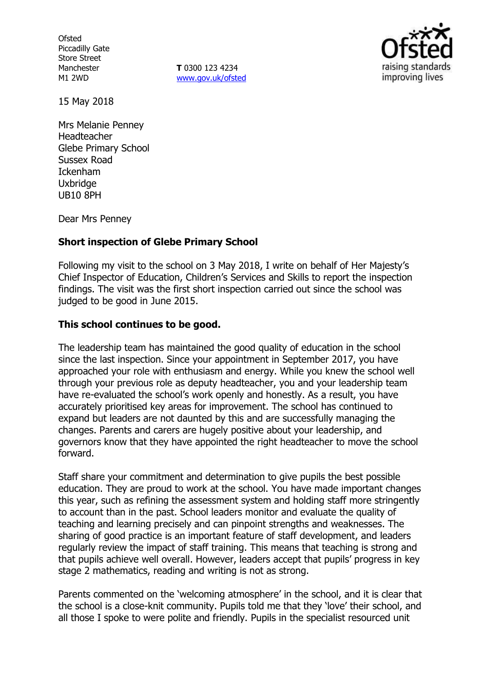**Ofsted** Piccadilly Gate Store Street Manchester M1 2WD

**T** 0300 123 4234 www.gov.uk/ofsted



15 May 2018

Mrs Melanie Penney Headteacher Glebe Primary School Sussex Road Ickenham **Uxbridge** UB10 8PH

Dear Mrs Penney

### **Short inspection of Glebe Primary School**

Following my visit to the school on 3 May 2018, I write on behalf of Her Majesty's Chief Inspector of Education, Children's Services and Skills to report the inspection findings. The visit was the first short inspection carried out since the school was judged to be good in June 2015.

#### **This school continues to be good.**

The leadership team has maintained the good quality of education in the school since the last inspection. Since your appointment in September 2017, you have approached your role with enthusiasm and energy. While you knew the school well through your previous role as deputy headteacher, you and your leadership team have re-evaluated the school's work openly and honestly. As a result, you have accurately prioritised key areas for improvement. The school has continued to expand but leaders are not daunted by this and are successfully managing the changes. Parents and carers are hugely positive about your leadership, and governors know that they have appointed the right headteacher to move the school forward.

Staff share your commitment and determination to give pupils the best possible education. They are proud to work at the school. You have made important changes this year, such as refining the assessment system and holding staff more stringently to account than in the past. School leaders monitor and evaluate the quality of teaching and learning precisely and can pinpoint strengths and weaknesses. The sharing of good practice is an important feature of staff development, and leaders regularly review the impact of staff training. This means that teaching is strong and that pupils achieve well overall. However, leaders accept that pupils' progress in key stage 2 mathematics, reading and writing is not as strong.

Parents commented on the 'welcoming atmosphere' in the school, and it is clear that the school is a close-knit community. Pupils told me that they 'love' their school, and all those I spoke to were polite and friendly. Pupils in the specialist resourced unit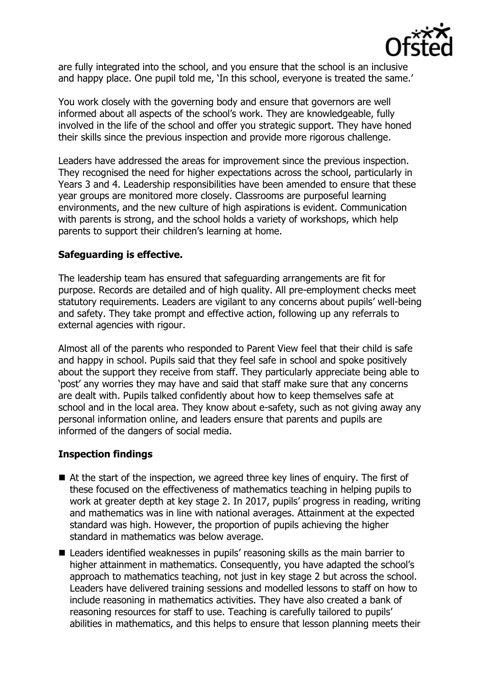

are fully integrated into the school, and you ensure that the school is an inclusive and happy place. One pupil told me, 'In this school, everyone is treated the same.'

You work closely with the governing body and ensure that governors are well informed about all aspects of the school's work. They are knowledgeable, fully involved in the life of the school and offer you strategic support. They have honed their skills since the previous inspection and provide more rigorous challenge.

Leaders have addressed the areas for improvement since the previous inspection. They recognised the need for higher expectations across the school, particularly in Years 3 and 4. Leadership responsibilities have been amended to ensure that these year groups are monitored more closely. Classrooms are purposeful learning environments, and the new culture of high aspirations is evident. Communication with parents is strong, and the school holds a variety of workshops, which help parents to support their children's learning at home.

# **Safeguarding is effective.**

The leadership team has ensured that safeguarding arrangements are fit for purpose. Records are detailed and of high quality. All pre-employment checks meet statutory requirements. Leaders are vigilant to any concerns about pupils' well-being and safety. They take prompt and effective action, following up any referrals to external agencies with rigour.

Almost all of the parents who responded to Parent View feel that their child is safe and happy in school. Pupils said that they feel safe in school and spoke positively about the support they receive from staff. They particularly appreciate being able to 'post' any worries they may have and said that staff make sure that any concerns are dealt with. Pupils talked confidently about how to keep themselves safe at school and in the local area. They know about e-safety, such as not giving away any personal information online, and leaders ensure that parents and pupils are informed of the dangers of social media.

### **Inspection findings**

- At the start of the inspection, we agreed three key lines of enguiry. The first of these focused on the effectiveness of mathematics teaching in helping pupils to work at greater depth at key stage 2. In 2017, pupils' progress in reading, writing and mathematics was in line with national averages. Attainment at the expected standard was high. However, the proportion of pupils achieving the higher standard in mathematics was below average.
- Leaders identified weaknesses in pupils' reasoning skills as the main barrier to higher attainment in mathematics. Consequently, you have adapted the school's approach to mathematics teaching, not just in key stage 2 but across the school. Leaders have delivered training sessions and modelled lessons to staff on how to include reasoning in mathematics activities. They have also created a bank of reasoning resources for staff to use. Teaching is carefully tailored to pupils' abilities in mathematics, and this helps to ensure that lesson planning meets their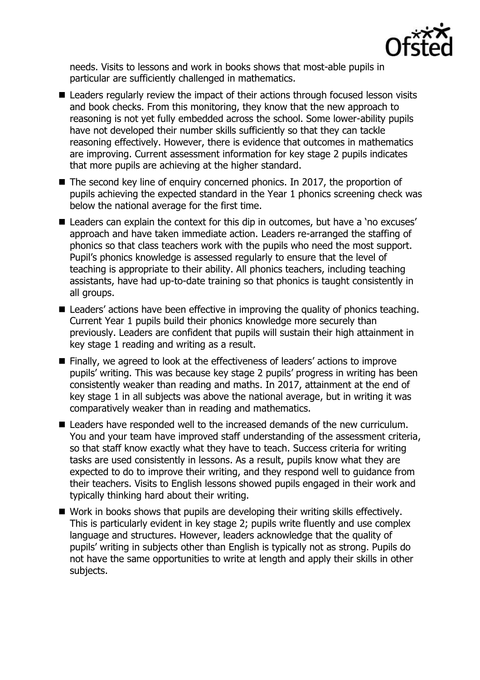

needs. Visits to lessons and work in books shows that most-able pupils in particular are sufficiently challenged in mathematics.

- Leaders regularly review the impact of their actions through focused lesson visits and book checks. From this monitoring, they know that the new approach to reasoning is not yet fully embedded across the school. Some lower-ability pupils have not developed their number skills sufficiently so that they can tackle reasoning effectively. However, there is evidence that outcomes in mathematics are improving. Current assessment information for key stage 2 pupils indicates that more pupils are achieving at the higher standard.
- The second key line of enquiry concerned phonics. In 2017, the proportion of pupils achieving the expected standard in the Year 1 phonics screening check was below the national average for the first time.
- Leaders can explain the context for this dip in outcomes, but have a 'no excuses' approach and have taken immediate action. Leaders re-arranged the staffing of phonics so that class teachers work with the pupils who need the most support. Pupil's phonics knowledge is assessed regularly to ensure that the level of teaching is appropriate to their ability. All phonics teachers, including teaching assistants, have had up-to-date training so that phonics is taught consistently in all groups.
- Leaders' actions have been effective in improving the quality of phonics teaching. Current Year 1 pupils build their phonics knowledge more securely than previously. Leaders are confident that pupils will sustain their high attainment in key stage 1 reading and writing as a result.
- Finally, we agreed to look at the effectiveness of leaders' actions to improve pupils' writing. This was because key stage 2 pupils' progress in writing has been consistently weaker than reading and maths. In 2017, attainment at the end of key stage 1 in all subjects was above the national average, but in writing it was comparatively weaker than in reading and mathematics.
- Leaders have responded well to the increased demands of the new curriculum. You and your team have improved staff understanding of the assessment criteria, so that staff know exactly what they have to teach. Success criteria for writing tasks are used consistently in lessons. As a result, pupils know what they are expected to do to improve their writing, and they respond well to guidance from their teachers. Visits to English lessons showed pupils engaged in their work and typically thinking hard about their writing.
- Work in books shows that pupils are developing their writing skills effectively. This is particularly evident in key stage 2; pupils write fluently and use complex language and structures. However, leaders acknowledge that the quality of pupils' writing in subjects other than English is typically not as strong. Pupils do not have the same opportunities to write at length and apply their skills in other subjects.